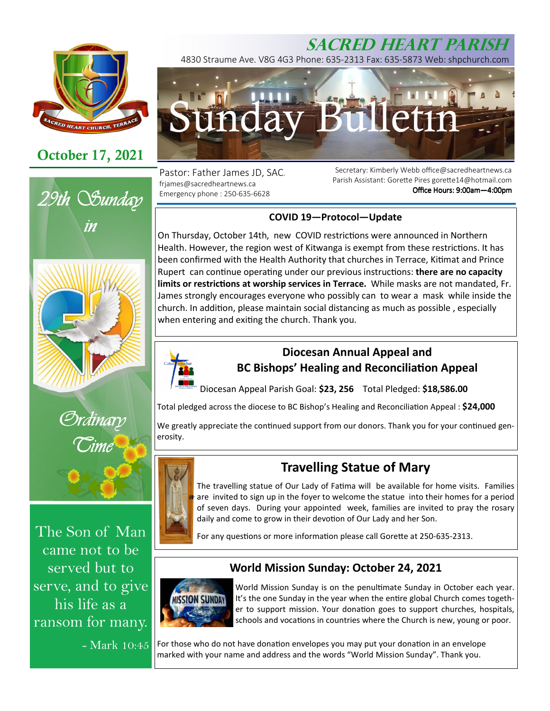

## **October 17, 2021**



The Son of Man came not to be served but to serve, and to give his life as a ransom for many.

- Mark 10:45

# **SACRED HEART PARISH**

4830 Straume Ave. V8G 4G3 Phone: 635-2313 Fax: 635-5873 Web: shpchurch.com



Pastor: Father James JD, SAC. frjames@sacredheartnews.ca Emergency phone : 250-635-6628

Secretary: Kimberly Webb office@sacredheartnews.ca Parish Assistant: Gorette Pires gorette14@hotmail.com Office Hours: 9:00am-4:00pm

## **COVID 19—Protocol—Update**

On Thursday, October 14th, new COVID restrictions were announced in Northern Health. However, the region west of Kitwanga is exempt from these restrictions. It has been confirmed with the Health Authority that churches in Terrace, Kitimat and Prince Rupert can continue operating under our previous instructions: there are no capacity limits or restrictions at worship services in Terrace. While masks are not mandated, Fr. James strongly encourages everyone who possibly can to wear a mask while inside the church. In addition, please maintain social distancing as much as possible, especially when entering and exiting the church. Thank you.



## **Diocesan Annual Appeal and BC Bishops' Healing and Reconciliation Appeal**

Diocesan Appeal Parish Goal: **\$23, 256** Total Pledged: **\$18,586.00**

Total pledged across the diocese to BC Bishop's Healing and Reconciliation Appeal : \$24,000

We greatly appreciate the continued support from our donors. Thank you for your continued generosity.



## **Travelling Statue of Mary**

The travelling statue of Our Lady of Fatima will be available for home visits. Families are invited to sign up in the foyer to welcome the statue into their homes for a period of seven days. During your appointed week, families are invited to pray the rosary daily and come to grow in their devotion of Our Lady and her Son.

For any questions or more information please call Gorette at 250-635-2313.

## **World Mission Sunday: October 24, 2021**



World Mission Sunday is on the penultimate Sunday in October each year. It's the one Sunday in the year when the entire global Church comes together to support mission. Your donation goes to support churches, hospitals, schools and vocations in countries where the Church is new, young or poor.

For those who do not have donation envelopes you may put your donation in an envelope marked with your name and address and the words "World Mission Sunday". Thank you.